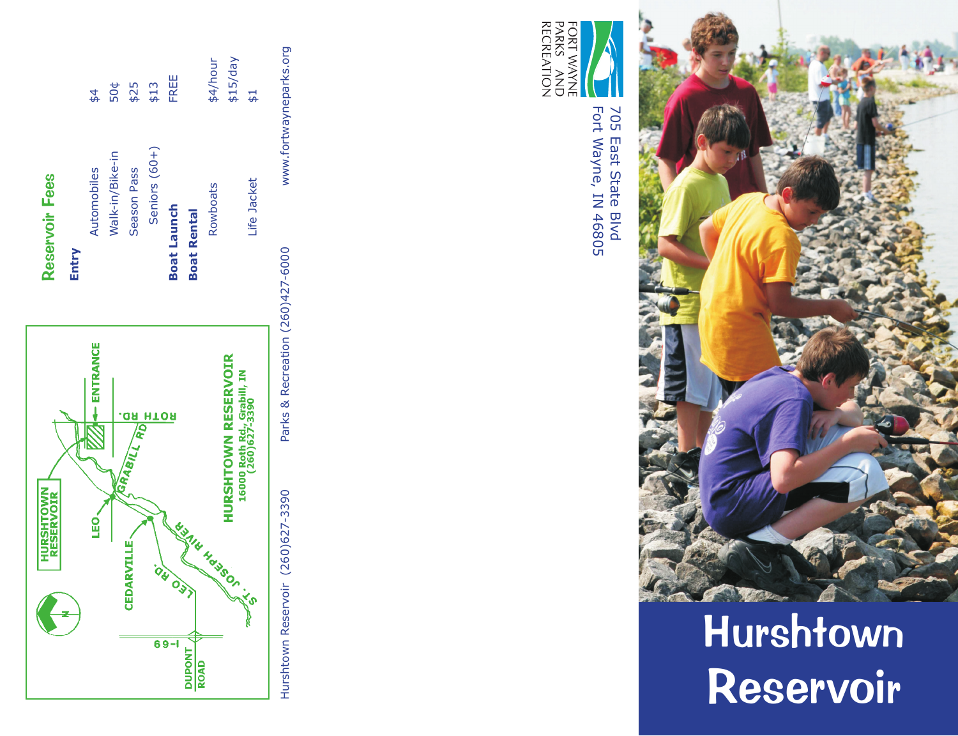



Hurshtown Reservoi r



Fort Wayne, IN 46805 Fort Wayne, IN 46805 705 East State Blvd 705 East State Blvd